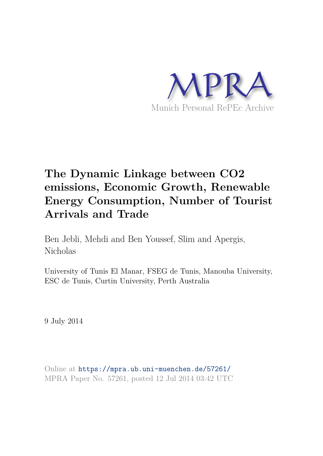

# **The Dynamic Linkage between CO2 emissions, Economic Growth, Renewable Energy Consumption, Number of Tourist Arrivals and Trade**

Ben Jebli, Mehdi and Ben Youssef, Slim and Apergis, Nicholas

University of Tunis El Manar, FSEG de Tunis, Manouba University, ESC de Tunis, Curtin University, Perth Australia

9 July 2014

Online at https://mpra.ub.uni-muenchen.de/57261/ MPRA Paper No. 57261, posted 12 Jul 2014 03:42 UTC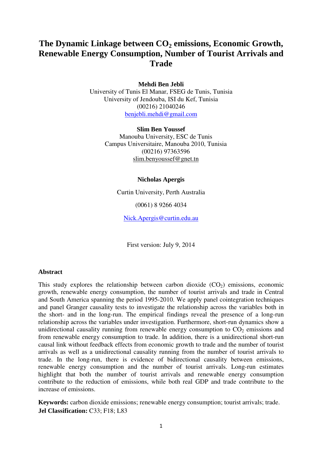# **The Dynamic Linkage between CO2 emissions, Economic Growth, Renewable Energy Consumption, Number of Tourist Arrivals and Trade**

**Mehdi Ben Jebli** 

University of Tunis El Manar, FSEG de Tunis, Tunisia University of Jendouba, ISI du Kef, Tunisia (00216) 21040246 benjebli.mehdi@gmail.com

> **Slim Ben Youssef**  Manouba University, ESC de Tunis Campus Universitaire, Manouba 2010, Tunisia (00216) 97363596 slim.benyoussef@gnet.tn

# **Nicholas Apergis**

Curtin University, Perth Australia

(0061) 8 9266 4034

Nick.Apergis@curtin.edu.au

First version: July 9, 2014

# **Abstract**

This study explores the relationship between carbon dioxide  $(CO<sub>2</sub>)$  emissions, economic growth, renewable energy consumption, the number of tourist arrivals and trade in Central and South America spanning the period 1995-2010. We apply panel cointegration techniques and panel Granger causality tests to investigate the relationship across the variables both in the short- and in the long-run. The empirical findings reveal the presence of a long-run relationship across the variables under investigation. Furthermore, short-run dynamics show a unidirectional causality running from renewable energy consumption to  $CO<sub>2</sub>$  emissions and from renewable energy consumption to trade. In addition, there is a unidirectional short-run causal link without feedback effects from economic growth to trade and the number of tourist arrivals as well as a unidirectional causality running from the number of tourist arrivals to trade. In the long-run, there is evidence of bidirectional causality between emissions, renewable energy consumption and the number of tourist arrivals. Long-run estimates highlight that both the number of tourist arrivals and renewable energy consumption contribute to the reduction of emissions, while both real GDP and trade contribute to the increase of emissions.

**Keywords:** carbon dioxide emissions; renewable energy consumption; tourist arrivals; trade. **Jel Classification:** C33; F18; L83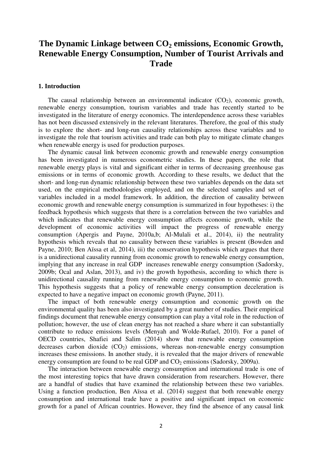# **The Dynamic Linkage between CO2 emissions, Economic Growth, Renewable Energy Consumption, Number of Tourist Arrivals and Trade**

## **1. Introduction**

The causal relationship between an environmental indicator  $(CO<sub>2</sub>)$ , economic growth, renewable energy consumption, tourism variables and trade has recently started to be investigated in the literature of energy economics. The interdependence across these variables has not been discussed extensively in the relevant literatures. Therefore, the goal of this study is to explore the short- and long-run causality relationships across these variables and to investigate the role that tourism activities and trade can both play to mitigate climate changes when renewable energy is used for production purposes.

The dynamic causal link between economic growth and renewable energy consumption has been investigated in numerous econometric studies. In these papers, the role that renewable energy plays is vital and significant either in terms of decreasing greenhouse gas emissions or in terms of economic growth. According to these results, we deduct that the short- and long-run dynamic relationship between these two variables depends on the data set used, on the empirical methodologies employed, and on the selected samples and set of variables included in a model framework. In addition, the direction of causality between economic growth and renewable energy consumption is summarized in four hypotheses: i) the feedback hypothesis which suggests that there is a correlation between the two variables and which indicates that renewable energy consumption affects economic growth, while the development of economic activities will impact the progress of renewable energy consumption (Apergis and Payne, 2010a,b; Al-Mulali et al., 2014), ii) the neutrality hypothesis which reveals that no causality between these variables is present (Bowden and Payne, 2010; Ben Aïssa et al, 2014), iii) the conservation hypothesis which argues that there is a unidirectional causality running from economic growth to renewable energy consumption, implying that any increase in real GDP increases renewable energy consumption (Sadorsky, 2009b; Ocal and Aslan, 2013), and iv) the growth hypothesis, according to which there is unidirectional causality running from renewable energy consumption to economic growth. This hypothesis suggests that a policy of renewable energy consumption deceleration is expected to have a negative impact on economic growth (Payne, 2011).

The impact of both renewable energy consumption and economic growth on the environmental quality has been also investigated by a great number of studies. Their empirical findings document that renewable energy consumption can play a vital role in the reduction of pollution; however, the use of clean energy has not reached a share where it can substantially contribute to reduce emissions levels (Menyah and Wolde-Rufael, 2010). For a panel of OECD countries, Shafiei and Salim (2014) show that renewable energy consumption decreases carbon dioxide  $(CO_2)$  emissions, whereas non-renewable energy consumption increases these emissions. In another study, it is revealed that the major drivers of renewable energy consumption are found to be real GDP and  $CO<sub>2</sub>$  emissions (Sadorsky, 2009a).

The interaction between renewable energy consumption and international trade is one of the most interesting topics that have drawn consideration from researchers. However, there are a handful of studies that have examined the relationship between these two variables. Using a function production, Ben Aïssa et al. (2014) suggest that both renewable energy consumption and international trade have a positive and significant impact on economic growth for a panel of African countries. However, they find the absence of any causal link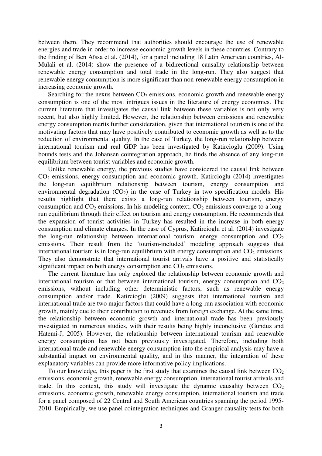between them. They recommend that authorities should encourage the use of renewable energies and trade in order to increase economic growth levels in these countries. Contrary to the finding of Ben Aïssa et al. (2014), for a panel including 18 Latin American countries, Al-Mulali et al. (2014) show the presence of a bidirectional causality relationship between renewable energy consumption and total trade in the long-run. They also suggest that renewable energy consumption is more significant than non-renewable energy consumption in increasing economic growth.

Searching for the nexus between  $CO<sub>2</sub>$  emissions, economic growth and renewable energy consumption is one of the most intrigues issues in the literature of energy economics. The current literature that investigates the causal link between these variables is not only very recent, but also highly limited. However, the relationship between emissions and renewable energy consumption merits further consideration, given that international tourism is one of the motivating factors that may have positively contributed to economic growth as well as to the reduction of environmental quality. In the case of Turkey, the long-run relationship between international tourism and real GDP has been investigated by Katircioglu (2009). Using bounds tests and the Johansen cointegration approach, he finds the absence of any long-run equilibrium between tourist variables and economic growth.

Unlike renewable energy, the previous studies have considered the causal link between CO2 emissions, energy consumption and economic growth. Katircioglu (2014) investigates the long-run equilibrium relationship between tourism, energy consumption and environmental degradation  $(CO_2)$  in the case of Turkey in two specification models. His results highlight that there exists a long-run relationship between tourism, energy consumption and  $CO<sub>2</sub>$  emissions. In his modeling context,  $CO<sub>2</sub>$  emissions converge to a longrun equilibrium through their effect on tourism and energy consumption. He recommends that the expansion of tourist activities in Turkey has resulted in the increase in both energy consumption and climate changes. In the case of Cyprus, Katircioglu et al. (2014) investigate the long-run relationship between international tourism, energy consumption and  $CO<sub>2</sub>$ emissions. Their result from the 'tourism-included' modeling approach suggests that international tourism is in long-run equilibrium with energy consumption and  $CO<sub>2</sub>$  emissions. They also demonstrate that international tourist arrivals have a positive and statistically significant impact on both energy consumption and  $CO<sub>2</sub>$  emissions.

The current literature has only explored the relationship between economic growth and international tourism or that between international tourism, energy consumption and  $CO<sub>2</sub>$ emissions, without including other deterministic factors, such as renewable energy consumption and/or trade. Katircioglu (2009) suggests that international tourism and international trade are two major factors that could have a long-run association with economic growth, mainly due to their contribution to revenues from foreign exchange. At the same time, the relationship between economic growth and international trade has been previously investigated in numerous studies, with their results being highly inconclusive (Gunduz and Hatemi-J, 2005). However, the relationship between international tourism and renewable energy consumption has not been previously investigated. Therefore, including both international trade and renewable energy consumption into the empirical analysis may have a substantial impact on environmental quality, and in this manner, the integration of these explanatory variables can provide more informative policy implications.

To our knowledge, this paper is the first study that examines the causal link between  $CO<sub>2</sub>$ emissions, economic growth, renewable energy consumption, international tourist arrivals and trade. In this context, this study will investigate the dynamic causality between  $CO<sub>2</sub>$ emissions, economic growth, renewable energy consumption, international tourism and trade for a panel composed of 22 Central and South American countries spanning the period 1995- 2010. Empirically, we use panel cointegration techniques and Granger causality tests for both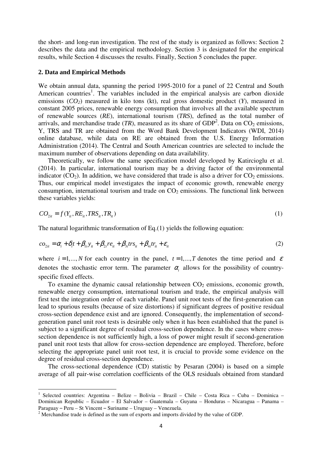the short- and long-run investigation. The rest of the study is organized as follows: Section 2 describes the data and the empirical methodology. Section 3 is designated for the empirical results, while Section 4 discusses the results. Finally, Section 5 concludes the paper.

### **2. Data and Empirical Methods**

We obtain annual data, spanning the period 1995-2010 for a panel of 22 Central and South American countries<sup>1</sup>. The variables included in the empirical analysis are carbon dioxide emissions (*CO2*) measured in kilo tons (kt), real gross domestic product (*Y*), measured in constant 2005 prices, renewable energy consumption that involves all the available spectrum of renewable sources (*RE*), international tourism (*TRS*), defined as the total number of arrivals, and merchandise trade  $(TR)$ , measured as its share of  $GDP<sup>2</sup>$ . Data on  $CO<sub>2</sub>$  emissions, Y, TRS and TR are obtained from the Word Bank Development Indicators (WDI, 2014) online database, while data on RE are obtained from the U.S. Energy Information Administration (2014). The Central and South American countries are selected to include the maximum number of observations depending on data availability.

Theoretically, we follow the same specification model developed by Katircioglu et al. (2014). In particular, international tourism may be a driving factor of the environmental indicator  $(CO<sub>2</sub>)$ . In addition, we have considered that trade is also a driver for  $CO<sub>2</sub>$  emissions. Thus, our empirical model investigates the impact of economic growth, renewable energy consumption, international tourism and trade on  $CO<sub>2</sub>$  emissions. The functional link between these variables yields:

$$
CO_{2it} = f(Y_{it}, RE_{it}, TRS_{it}, TR_{it})
$$
\n
$$
(1)
$$

The natural logarithmic transformation of Eq.(1) yields the following equation:

$$
co_{2it} = \alpha_i + \delta_i t + \beta_{1i} y_{it} + \beta_{2i} re_{it} + \beta_{3i} tr s_{it} + \beta_{4i} tr_{it} + \varepsilon_{it}
$$
\n
$$
\tag{2}
$$

where  $i = 1, ..., N$  for each country in the panel,  $t = 1, ..., T$  denotes the time period and  $\varepsilon$ denotes the stochastic error term. The parameter  $\alpha$  allows for the possibility of countryspecific fixed effects.

To examine the dynamic causal relationship between  $CO<sub>2</sub>$  emissions, economic growth, renewable energy consumption, international tourism and trade, the empirical analysis will first test the integration order of each variable. Panel unit root tests of the first-generation can lead to spurious results (because of size distortions) if significant degrees of positive residual cross-section dependence exist and are ignored. Consequently, the implementation of secondgeneration panel unit root tests is desirable only when it has been established that the panel is subject to a significant degree of residual cross-section dependence. In the cases where crosssection dependence is not sufficiently high, a loss of power might result if second-generation panel unit root tests that allow for cross-section dependence are employed. Therefore, before selecting the appropriate panel unit root test, it is crucial to provide some evidence on the degree of residual cross-section dependence.

The cross-sectional dependence (CD) statistic by Pesaran (2004) is based on a simple average of all pair-wise correlation coefficients of the OLS residuals obtained from standard

l

<sup>&</sup>lt;sup>1</sup> Selected countries: Argentina - Belize - Bolivia - Brazil - Chile - Costa Rica - Cuba - Dominica -Dominican Republic – Ecuador – El Salvador – Guatemala – Guyana – Honduras – Nicaragua – Panama – Paraguay – Peru – St Vincent – Suriname – Uruguay – Venezuela.

 $2^2$  Merchandise trade is defined as the sum of exports and imports divided by the value of GDP.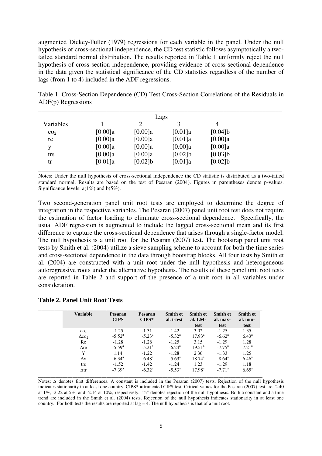augmented Dickey-Fuller (1979) regressions for each variable in the panel. Under the null hypothesis of cross-sectional independence, the CD test statistic follows asymptotically a twotailed standard normal distribution. The results reported in Table 1 uniformly reject the null hypothesis of cross-section independence, providing evidence of cross-sectional dependence in the data given the statistical significance of the CD statistics regardless of the number of lags (from 1 to 4) included in the ADF regressions.

| Table 1. Cross-Section Dependence (CD) Test Cross-Section Correlations of the Residuals in |  |
|--------------------------------------------------------------------------------------------|--|
| $ADF(p)$ Regressions                                                                       |  |
|                                                                                            |  |

| Lags            |            |            |            |            |  |  |
|-----------------|------------|------------|------------|------------|--|--|
| Variables       |            | 2          | 3          | 4          |  |  |
| CO <sub>2</sub> | $[0.00]$ a | $[0.00]$ a | [0.01]a    | [0.04]     |  |  |
| re              | $[0.00]$ a | [0.00]a    | [0.01]a    | [0.00]a    |  |  |
| v               | $[0.00]$ a | [0.00]a    | $[0.00]$ a | [0.00]a    |  |  |
| trs             | $[0.00]$ a | $[0.00]$ a | $[0.02]$ b | $[0.03]$ b |  |  |
| tr              | [0.01]a    | $[0.02]$ b | [0.01]a    | $[0.02]$ b |  |  |
|                 |            |            |            |            |  |  |

Notes: Under the null hypothesis of cross-sectional independence the CD statistic is distributed as a two-tailed standard normal. Results are based on the test of Pesaran (2004). Figures in parentheses denote p-values. Significance levels:  $a(1\%)$  and  $b(5\%)$ .

Two second-generation panel unit root tests are employed to determine the degree of integration in the respective variables. The Pesaran (2007) panel unit root test does not require the estimation of factor loading to eliminate cross-sectional dependence. Specifically, the usual ADF regression is augmented to include the lagged cross-sectional mean and its first difference to capture the cross-sectional dependence that arises through a single-factor model. The null hypothesis is a unit root for the Pesaran (2007) test. The bootstrap panel unit root tests by Smith et al. (2004) utilize a sieve sampling scheme to account for both the time series and cross-sectional dependence in the data through bootstrap blocks. All four tests by Smith et al. (2004) are constructed with a unit root under the null hypothesis and heterogeneous autoregressive roots under the alternative hypothesis. The results of these panel unit root tests are reported in Table 2 and support of the presence of a unit root in all variables under consideration.

| <b>Variable</b>          | Pesaran<br><b>CIPS</b> | <b>Pesaran</b><br>$CIPS*$ | <b>Smith et</b><br>al. t-test | <b>Smith et</b><br>al. $LM-$<br>test | <b>Smith et</b><br>al. max-<br>test | Smith et<br>al. min-<br>test |
|--------------------------|------------------------|---------------------------|-------------------------------|--------------------------------------|-------------------------------------|------------------------------|
| CO <sub>2</sub>          | $-1.25$                | $-1.31$                   | $-1.42$                       | 3.02                                 | $-1.25$                             | 1.35                         |
| $\Delta$ co <sub>2</sub> | $-5.52^{\rm a}$        | $-5.23^{\rm a}$           | $-5.32^{\rm a}$               | $17.93^{\rm a}$                      | $-6.62^{\rm a}$                     | $6.43^{\rm a}$               |
| Re                       | $-1.28$                | $-1.26$                   | $-1.25$                       | 3.15                                 | $-1.29$                             | 1.28                         |
| $\Delta$ re              | $-5.59^{\rm a}$        | $-5.21^{\circ}$           | $-6.24$ <sup>a</sup>          | $19.51^{\circ}$                      | $-7.75^{\rm a}$                     | $7.21^a$                     |
| Y                        | 1.14                   | $-1.22$                   | $-1.28$                       | 2.36                                 | $-1.33$                             | 1.25                         |
| $\Delta y$               | $-6.34$ <sup>a</sup>   | $-6.48$ <sup>a</sup>      | $-5.63^{\rm a}$               | $18.74^{\rm a}$                      | $-8.64^{\rm a}$                     | $6.46^{\rm a}$               |
| trs                      | $-1.52$                | $-1.42$                   | $-1.24$                       | 1.23                                 | $-1.29$                             | 1.18                         |
| $\Delta \text{tr}$       | $-7.39a$               | $-6.32^{\rm a}$           | $-5.53^{\rm a}$               | $17.98^{\rm a}$                      | $-7.71a$                            | $6.65^{\rm a}$               |

# **Table 2. Panel Unit Root Tests**

Notes:  $\Delta$  denotes first differences. A constant is included in the Pesaran (2007) tests. Rejection of the null hypothesis indicates stationarity in at least one country. CIPS $*$  = truncated CIPS test. Critical values for the Pesaran (2007) test are -2.40 at 1%, -2.22 at 5%, and -2.14 at 10%, respectively. "a" denotes rejection of the null hypothesis. Both a constant and a time trend are included in the Smith et al. (2004) tests. Rejection of the null hypothesis indicates stationarity in at least one country. For both tests the results are reported at  $\log = 4$ . The null hypothesis is that of a unit root.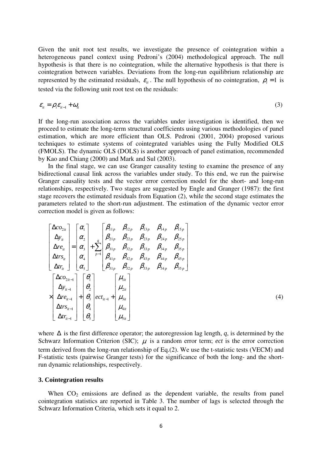Given the unit root test results, we investigate the presence of cointegration within a heterogeneous panel context using Pedroni's (2004) methodological approach. The null hypothesis is that there is no cointegration, while the alternative hypothesis is that there is cointegration between variables. Deviations from the long-run equilibrium relationship are represented by the estimated residuals,  $\varepsilon_{i}$ . The null hypothesis of no cointegration,  $\rho_{i} = 1$  is tested via the following unit root test on the residuals:

$$
\varepsilon_{it} = \rho_i \varepsilon_{it-1} + \omega_{it} \tag{3}
$$

If the long-run association across the variables under investigation is identified, then we proceed to estimate the long-term structural coefficients using various methodologies of panel estimation, which are more efficient than OLS. Pedroni (2001, 2004) proposed various techniques to estimate systems of cointegrated variables using the Fully Modified OLS (FMOLS). The dynamic OLS (DOLS) is another approach of panel estimation, recommended by Kao and Chiang (2000) and Mark and Sul (2003).

In the final stage, we can use Granger causality testing to examine the presence of any bidirectional causal link across the variables under study. To this end, we run the pairwise Granger causality tests and the vector error correction model for the short- and long-run relationships, respectively. Two stages are suggested by Engle and Granger (1987): the first stage recovers the estimated residuals from Equation (2), while the second stage estimates the parameters related to the short-run adjustment. The estimation of the dynamic vector error correction model is given as follows:

$$
\begin{bmatrix}\n\Delta_{O_{2it}} \\
\Delta_{y_{it}} \\
\Delta_{w_{it}} \\
\Delta_{w_{it}}\n\end{bmatrix} =\n\begin{bmatrix}\n\alpha_{1} \\
\alpha_{2} \\
\alpha_{3} \\
\alpha_{4} \\
\alpha_{5}\n\end{bmatrix} +\n\begin{bmatrix}\n\beta_{11p} & \beta_{12p} & \beta_{13p} & \beta_{14p} & \beta_{15p} \\
\beta_{21p} & \beta_{22p} & \beta_{23p} & \beta_{24p} & \beta_{25p} \\
\beta_{31p} & \beta_{32p} & \beta_{33p} & \beta_{34p} & \beta_{35p} \\
\Delta_{t1r_{it}}\n\end{bmatrix} \\
\Delta_{t1r_{it}}\n\begin{bmatrix}\n\alpha_{1} \\
\alpha_{2} \\
\alpha_{3} \\
\alpha_{4} \\
\alpha_{5}\n\end{bmatrix} +\n\begin{bmatrix}\n\beta_{11p} & \beta_{12p} & \beta_{13p} & \beta_{14p} & \beta_{15p} \\
\beta_{31p} & \beta_{32p} & \beta_{33p} & \beta_{34p} & \beta_{35p} \\
\beta_{51p} & \beta_{52p} & \beta_{53p} & \beta_{54p} & \beta_{55p}\n\end{bmatrix}
$$
\n
$$
\times \begin{bmatrix}\n\Delta_{CO_{2it-1}} \\
\Delta_{y_{it-1}} \\
\Delta_{y_{it-1}} \\
\Delta_{r_{it-1}}\n\end{bmatrix} +\n\begin{bmatrix}\n\theta_{1} \\
\theta_{2} \\
\theta_{3} \\
\theta_{4} \\
\theta_{5}\n\end{bmatrix} ect_{it-1} +\n\begin{bmatrix}\n\mu_{1it} \\
\mu_{2it} \\
\mu_{3it} \\
\mu_{4it} \\
\mu_{5it}\n\end{bmatrix}
$$
\n(4)

where ∆ is the first difference operator; the autoregression lag length, *q*, is determined by the Schwarz Information Criterion (SIC);  $\mu$  is a random error term; *ect* is the error correction term derived from the long-run relationship of Eq.(2). We use the t-statistic tests (VECM) and F-statistic tests (pairwise Granger tests) for the significance of both the long- and the shortrun dynamic relationships, respectively.

### **3. Cointegration results**

When  $CO<sub>2</sub>$  emissions are defined as the dependent variable, the results from panel cointegration statistics are reported in Table 3. The number of lags is selected through the Schwarz Information Criteria, which sets it equal to 2.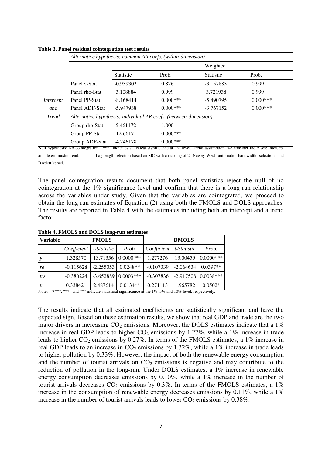|              |                |                                                                  |            | Weighted         |            |  |  |
|--------------|----------------|------------------------------------------------------------------|------------|------------------|------------|--|--|
|              |                | <b>Statistic</b>                                                 | Prob.      | <b>Statistic</b> | Prob.      |  |  |
|              | Panel v-Stat   | $-0.939302$                                                      | 0.826      | $-3.157883$      | 0.999      |  |  |
|              | Panel rho-Stat | 3.108884                                                         | 0.999      | 3.721938         | 0.999      |  |  |
| intercept    | Panel PP-Stat  | $-8.168414$                                                      | $0.000***$ | $-5.490795$      | $0.000***$ |  |  |
| and          | Panel ADF-Stat | $-5.947938$                                                      | $0.000***$ | $-3.767152$      | $0.000***$ |  |  |
| <b>Trend</b> |                | Alternative hypothesis: individual AR coefs. (between-dimension) |            |                  |            |  |  |
|              | Group rho-Stat | 5.461172                                                         | 1.000      |                  |            |  |  |
|              | Group PP-Stat  | $-12.66171$                                                      | $0.000***$ |                  |            |  |  |
|              | Group ADF-Stat | $-4.246178$                                                      | $0.000***$ |                  |            |  |  |

#### **Table 3. Panel residual cointegration test results**

and deterministic trend. Lag length selection based on SIC with a max lag of 2. Newey-West automatic bandwidth selection and Bartlett kernel.

The panel cointegration results document that both panel statistics reject the null of no cointegration at the 1% significance level and confirm that there is a long-run relationship across the variables under study. Given that the variables are cointegrated, we proceed to obtain the long-run estimates of Equation (2) using both the FMOLS and DOLS approaches. The results are reported in Table 4 with the estimates including both an intercept and a trend factor.

| <b>Variable</b> | <b>FMOLS</b>                                                                                                |             |                       | <b>DMOLS</b> |             |                       |
|-----------------|-------------------------------------------------------------------------------------------------------------|-------------|-----------------------|--------------|-------------|-----------------------|
|                 | Coefficient                                                                                                 | t-Statistic | Prob.                 | Coefficient  | t-Statistic | Prob.                 |
| $\mathcal{Y}$   | 1.328570                                                                                                    |             | 13.71356 0.0000***    | 1.277276     | 13.00459    | $0.0000***$           |
| re              | $-0.115628$                                                                                                 | $-2.255053$ | $0.0248**$            | $-0.107339$  | $-2.064634$ | $0.0397**$            |
| trs             | $-0.380224$                                                                                                 |             | $-3.652889$ 0.0003*** | $-0.307836$  |             | $-2.917508$ 0.0038*** |
| tr              | 0.338421                                                                                                    | 2.487614    | $0.0134**$            | 0.271113     | 1.965782    | $0.0502*$             |
|                 | Notes: "***", "**" and "*" indicate statistical significance at the $1\%$ , 5% and 10% level, respectively. |             |                       |              |             |                       |

**Table 4. FMOLS and DOLS long-run estimates**

The results indicate that all estimated coefficients are statistically significant and have the expected sign. Based on these estimation results, we show that real GDP and trade are the two major drivers in increasing  $CO<sub>2</sub>$  emissions. Moreover, the DOLS estimates indicate that a 1% increase in real GDP leads to higher  $CO<sub>2</sub>$  emissions by 1.27%, while a 1% increase in trade leads to higher  $CO_2$  emissions by 0.27%. In terms of the FMOLS estimates, a 1% increase in real GDP leads to an increase in  $CO<sub>2</sub>$  emissions by 1.32%, while a 1% increase in trade leads to higher pollution by 0.33%. However, the impact of both the renewable energy consumption and the number of tourist arrivals on  $CO<sub>2</sub>$  emissions is negative and may contribute to the reduction of pollution in the long-run. Under DOLS estimates, a 1% increase in renewable energy consumption decreases emissions by 0.10%, while a 1% increase in the number of tourist arrivals decreases  $CO<sub>2</sub>$  emissions by 0.3%. In terms of the FMOLS estimates, a 1% increase in the consumption of renewable energy decreases emissions by 0.11%, while a 1% increase in the number of tourist arrivals leads to lower  $CO<sub>2</sub>$  emissions by 0.38%.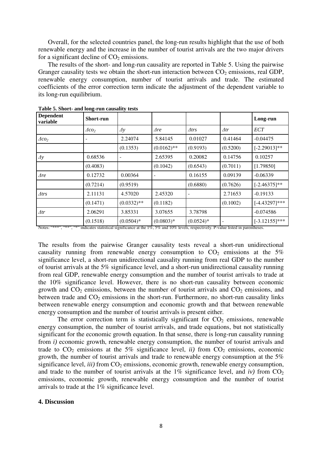Overall, for the selected countries panel, the long-run results highlight that the use of both renewable energy and the increase in the number of tourist arrivals are the two major drivers for a significant decline of  $CO<sub>2</sub>$  emissions.

The results of the short- and long-run causality are reported in Table 5. Using the pairwise Granger causality tests we obtain the short-run interaction between  $CO<sub>2</sub>$  emissions, real GDP, renewable energy consumption, number of tourist arrivals and trade. The estimated coefficients of the error correction term indicate the adjustment of the dependent variable to its long-run equilibrium.

| <b>Dependent</b><br>variable | <b>Short-run</b>         |               |               |              |             | Long-run         |
|------------------------------|--------------------------|---------------|---------------|--------------|-------------|------------------|
|                              | $\Delta$ co <sub>2</sub> | $\Delta y$    | $\Delta re$   | $\Delta trs$ | $\Delta tr$ | <b>ECT</b>       |
| $\triangle$ co <sub>2</sub>  |                          | 2.24074       | 5.84145       | 0.01027      | 0.41464     | $-0.04475$       |
|                              |                          | (0.1353)      | $(0.0162)$ ** | (0.9193)     | (0.5200)    | $[-2.29013]*$    |
| $\Delta y$                   | 0.68536                  |               | 2.65395       | 0.20082      | 0.14756     | 0.10257          |
|                              | (0.4083)                 |               | (0.1042)      | (0.6543)     | (0.7011)    | [1.79850]        |
| $\Delta re$                  | 0.12732                  | 0.00364       |               | 0.16155      | 0.09139     | $-0.06339$       |
|                              | (0.7214)                 | (0.9519)      |               | (0.6880)     | (0.7626)    | $[-2.46375]$ **  |
| $\triangle$ trs              | 2.11131                  | 4.57020       | 2.45320       |              | 2.71653     | $-0.19133$       |
|                              | (0.1471)                 | $(0.0332)$ ** | (0.1182)      |              | (0.1002)    | $[-4.43297]***$  |
| $\Delta tr$                  | 2.06291                  | 3.85331       | 3.07655       | 3.78798      |             | $-0.074586$      |
| $\overline{\phantom{a}}$     | (0.1518)                 | $(0.0504)*$   | $(0.0803)*$   | $(0.0524)*$  |             | $[-3.12155]$ *** |

**Table 5. Short- and long-run causality tests**

Notes: "\*\*\*", "\*\*", "\*" indicates statistical significance at the 1%, 5% and 10% levels, respectively. P-value listed in parentheses.

The results from the pairwise Granger causality tests reveal a short-run unidirectional causality running from renewable energy consumption to  $CO<sub>2</sub>$  emissions at the 5% significance level, a short-run unidirectional causality running from real GDP to the number of tourist arrivals at the 5% significance level, and a short-run unidirectional causality running from real GDP, renewable energy consumption and the number of tourist arrivals to trade at the 10% significance level. However, there is no short-run causality between economic growth and  $CO<sub>2</sub>$  emissions, between the number of tourist arrivals and  $CO<sub>2</sub>$  emissions, and between trade and  $CO<sub>2</sub>$  emissions in the short-run. Furthermore, no short-run causality links between renewable energy consumption and economic growth and that between renewable energy consumption and the number of tourist arrivals is present either.

The error correction term is statistically significant for  $CO<sub>2</sub>$  emissions, renewable energy consumption, the number of tourist arrivals, and trade equations, but not statistically significant for the economic growth equation. In that sense, there is long-run causality running from *i*) economic growth, renewable energy consumption, the number of tourist arrivals and trade to  $CO_2$  emissions at the 5% significance level, *ii*) from  $CO_2$  emissions, economic growth, the number of tourist arrivals and trade to renewable energy consumption at the 5% significance level,  $iii$  from  $CO<sub>2</sub>$  emissions, economic growth, renewable energy consumption, and trade to the number of tourist arrivals at the  $1\%$  significance level, and *iv*) from  $CO<sub>2</sub>$ emissions, economic growth, renewable energy consumption and the number of tourist arrivals to trade at the 1% significance level.

# **4. Discussion**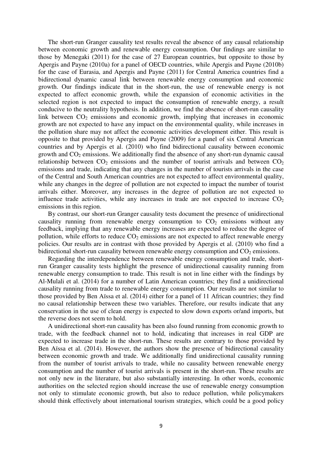The short-run Granger causality test results reveal the absence of any causal relationship between economic growth and renewable energy consumption. Our findings are similar to those by Menegaki (2011) for the case of 27 European countries, but opposite to those by Apergis and Payne (2010a) for a panel of OECD countries, while Apergis and Payne (2010b) for the case of Eurasia, and Apergis and Payne (2011) for Central America countries find a bidirectional dynamic causal link between renewable energy consumption and economic growth. Our findings indicate that in the short-run, the use of renewable energy is not expected to affect economic growth, while the expansion of economic activities in the selected region is not expected to impact the consumption of renewable energy, a result conducive to the neutrality hypothesis. In addition, we find the absence of short-run causality link between  $CO<sub>2</sub>$  emissions and economic growth, implying that increases in economic growth are not expected to have any impact on the environmental quality, while increases in the pollution share may not affect the economic activities development either. This result is opposite to that provided by Apergis and Payne (2009) for a panel of six Central American countries and by Apergis et al. (2010) who find bidirectional causality between economic growth and  $CO<sub>2</sub>$  emissions. We additionally find the absence of any short-run dynamic causal relationship between  $CO<sub>2</sub>$  emissions and the number of tourist arrivals and between  $CO<sub>2</sub>$ emissions and trade, indicating that any changes in the number of tourists arrivals in the case of the Central and South American countries are not expected to affect environmental quality, while any changes in the degree of pollution are not expected to impact the number of tourist arrivals either. Moreover, any increases in the degree of pollution are not expected to influence trade activities, while any increases in trade are not expected to increase  $CO<sub>2</sub>$ emissions in this region.

By contrast, our short-run Granger causality tests document the presence of unidirectional causality running from renewable energy consumption to  $CO<sub>2</sub>$  emissions without any feedback, implying that any renewable energy increases are expected to reduce the degree of pollution, while efforts to reduce  $CO<sub>2</sub>$  emissions are not expected to affect renewable energy policies. Our results are in contrast with those provided by Apergis et al. (2010) who find a bidirectional short-run causality between renewable energy consumption and  $CO<sub>2</sub>$  emissions.

Regarding the interdependence between renewable energy consumption and trade, shortrun Granger causality tests highlight the presence of unidirectional causality running from renewable energy consumption to trade. This result is not in line either with the findings by Al-Mulali et al. (2014) for a number of Latin American countries; they find a unidirectional causality running from trade to renewable energy consumption. Our results are not similar to those provided by Ben Aïssa et al. (2014) either for a panel of 11 African countries; they find no causal relationship between these two variables. Therefore, our results indicate that any conservation in the use of clean energy is expected to slow down exports or/and imports, but the reverse does not seem to hold.

A unidirectional short-run causality has been also found running from economic growth to trade, with the feedback channel not to hold, indicating that increases in real GDP are expected to increase trade in the short-run. These results are contrary to those provided by Ben Aïssa et al. (2014). However, the authors show the presence of bidirectional causality between economic growth and trade. We additionally find unidirectional causality running from the number of tourist arrivals to trade, while no causality between renewable energy consumption and the number of tourist arrivals is present in the short-run. These results are not only new in the literature, but also substantially interesting. In other words, economic authorities on the selected region should increase the use of renewable energy consumption not only to stimulate economic growth, but also to reduce pollution, while policymakers should think effectively about international tourism strategies, which could be a good policy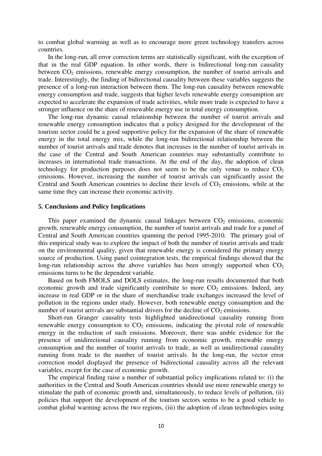to combat global warming as well as to encourage more green technology transfers across countries.

In the long-run, all error correction terms are statistically significant, with the exception of that in the real GDP equation. In other words, there is bidirectional long-run causality between  $CO<sub>2</sub>$  emissions, renewable energy consumption, the number of tourist arrivals and trade. Interestingly, the finding of bidirectional causality between these variables suggests the presence of a long-run interaction between them. The long-run causality between renewable energy consumption and trade, suggests that higher levels renewable energy consumption are expected to accelerate the expansion of trade activities, while more trade is expected to have a stronger influence on the share of renewable energy use in total energy consumption.

The long-run dynamic causal relationship between the number of tourist arrivals and renewable energy consumption indicates that a policy designed for the development of the tourism sector could be a good supportive policy for the expansion of the share of renewable energy in the total energy mix, while the long-run bidirectional relationship between the number of tourist arrivals and trade denotes that increases in the number of tourist arrivals in the case of the Central and South American countries may substantially contribute to increases in international trade transactions. At the end of the day, the adoption of clean technology for production purposes does not seem to be the only venue to reduce  $CO<sub>2</sub>$ emissions. However, increasing the number of tourist arrivals can significantly assist the Central and South American countries to decline their levels of  $CO<sub>2</sub>$  emissions, while at the same time they can increase their economic activity.

### **5. Conclusions and Policy Implications**

This paper examined the dynamic causal linkages between  $CO<sub>2</sub>$  emissions, economic growth, renewable energy consumption, the number of tourist arrivals and trade for a panel of Central and South American countries spanning the period 1995-2010. The primary goal of this empirical study was to explore the impact of both the number of tourist arrivals and trade on the environmental quality, given that renewable energy is considered the primary energy source of production. Using panel cointegration tests, the empirical findings showed that the long-run relationship across the above variables has been strongly supported when  $CO<sub>2</sub>$ emissions turns to be the dependent variable.

Based on both FMOLS and DOLS estimates, the long-run results documented that both economic growth and trade significantly contribute to more  $CO<sub>2</sub>$  emissions. Indeed, any increase in real GDP or in the share of merchandise trade exchanges increased the level of pollution in the regions under study. However, both renewable energy consumption and the number of tourist arrivals are substantial drivers for the decline of  $CO<sub>2</sub>$  emissions.

Short-run Granger causality tests highlighted unidirectional causality running from renewable energy consumption to  $CO<sub>2</sub>$  emissions, indicating the pivotal role of renewable energy in the reduction of such emissions. Moreover, there was amble evidence for the presence of unidirectional causality running from economic growth, renewable energy consumption and the number of tourist arrivals to trade, as well as unidirectional causality running from trade to the number of tourist arrivals. In the long-run, the vector error correction model displayed the presence of bidirectional causality across all the relevant variables, except for the case of economic growth.

The empirical finding raise a number of substantial policy implications related to: (i) the authorities in the Central and South American countries should use more renewable energy to stimulate the path of economic growth and, simultaneously, to reduce levels of pollution, (ii) policies that support the development of the tourism sectors seems to be a good vehicle to combat global warming across the two regions, (iii) the adoption of clean technologies using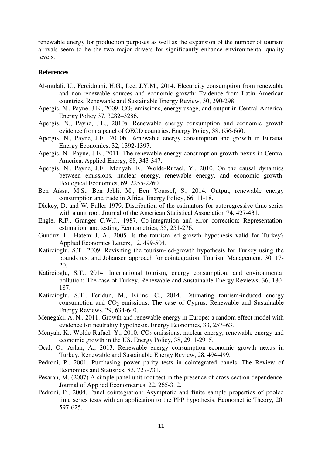renewable energy for production purposes as well as the expansion of the number of tourism arrivals seem to be the two major drivers for significantly enhance environmental quality levels.

## **References**

- Al-mulali, U., Fereidouni, H.G., Lee, J.Y.M., 2014. Electricity consumption from renewable and non-renewable sources and economic growth: Evidence from Latin American countries. Renewable and Sustainable Energy Review, 30, 290-298.
- Apergis, N., Payne, J.E., 2009.  $CO<sub>2</sub>$  emissions, energy usage, and output in Central America. Energy Policy 37, 3282–3286.
- Apergis, N., Payne, J.E., 2010a. Renewable energy consumption and economic growth evidence from a panel of OECD countries. Energy Policy, 38, 656-660.
- Apergis, N., Payne, J.E., 2010b. Renewable energy consumption and growth in Eurasia. Energy Economics, 32, 1392-1397.
- Apergis, N., Payne, J.E., 2011. The renewable energy consumption-growth nexus in Central America. Applied Energy, 88, 343-347.
- Apergis, N., Payne, J.E., Menyah, K., Wolde-Rufael, Y., 2010. On the causal dynamics between emissions, nuclear energy, renewable energy, and economic growth. Ecological Economics, 69, 2255-2260.
- Ben Aïssa, M.S., Ben Jebli, M., Ben Youssef, S., 2014. Output, renewable energy consumption and trade in Africa. Energy Policy, 66, 11-18.
- Dickey, D. and W. Fuller 1979. Distribution of the estimators for autoregressive time series with a unit root. Journal of the American Statistical Association 74, 427-431.
- Engle, R.F., Granger C.W.J., 1987. Co-integration and error correction: Representation, estimation, and testing. Econometrica, 55, 251-276.
- Gunduz, L., Hatemi-J, A., 2005. Is the tourism-led growth hypothesis valid for Turkey? Applied Economics Letters, 12, 499-504.
- Katircioglu, S.T., 2009. Revisiting the tourism-led-growth hypothesis for Turkey using the bounds test and Johansen approach for cointegration. Tourism Management, 30, 17- 20.
- Katircioglu, S.T., 2014. International tourism, energy consumption, and environmental pollution: The case of Turkey. Renewable and Sustainable Energy Reviews, 36, 180- 187.
- Katircioglu, S.T., Feridun, M., Kilinc, C., 2014. Estimating tourism-induced energy consumption and  $CO<sub>2</sub>$  emissions: The case of Cyprus. Renewable and Sustainable Energy Reviews, 29, 634-640.
- Menegaki, A. N., 2011. Growth and renewable energy in Europe: a random effect model with evidence for neutrality hypothesis. Energy Economics, 33, 257–63.
- Menyah, K., Wolde-Rufael, Y., 2010.  $CO<sub>2</sub>$  emissions, nuclear energy, renewable energy and economic growth in the US. Energy Policy, 38, 2911-2915.
- Ocal, O., Aslan, A., 2013. Renewable energy consumption–economic growth nexus in Turkey. Renewable and Sustainable Energy Review, 28, 494-499.
- Pedroni, P., 2001. Purchasing power parity tests in cointegrated panels. The Review of Economics and Statistics, 83, 727-731.
- Pesaran, M. (2007) A simple panel unit root test in the presence of cross-section dependence. Journal of Applied Econometrics, 22, 265-312.
- Pedroni, P., 2004. Panel cointegration: Asymptotic and finite sample properties of pooled time series tests with an application to the PPP hypothesis. Econometric Theory, 20, 597-625.